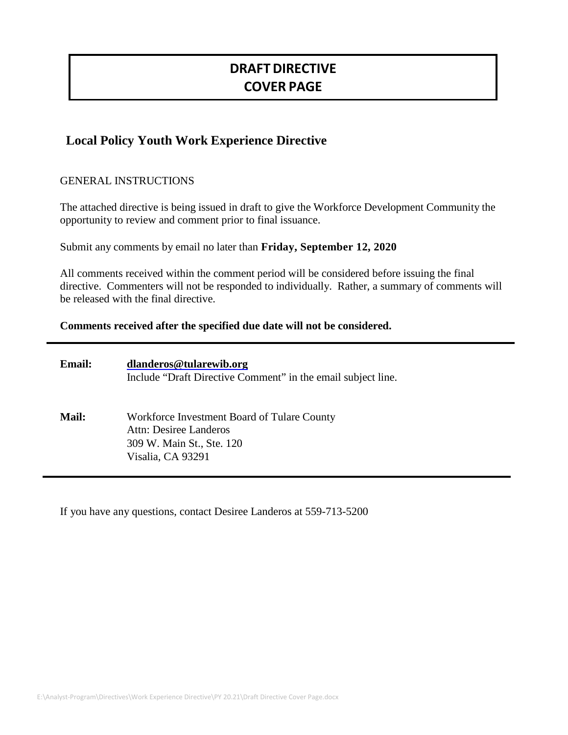# **DRAFT DIRECTIVE COVER PAGE**

# **Local Policy Youth Work Experience Directive**

# GENERAL INSTRUCTIONS

The attached directive is being issued in draft to give the Workforce Development Community the opportunity to review and comment prior to final issuance.

Submit any comments by email no later than **Friday, September 12, 2020**

All comments received within the comment period will be considered before issuing the final directive. Commenters will not be responded to individually. Rather, a summary of comments will be released with the final directive.

# **Comments received after the specified due date will not be considered.**

| <b>Email:</b> | dlanderos@tularewib.org<br>Include "Draft Directive Comment" in the email subject line.                                 |
|---------------|-------------------------------------------------------------------------------------------------------------------------|
| <b>Mail:</b>  | Workforce Investment Board of Tulare County<br>Attn: Desiree Landeros<br>309 W. Main St., Ste. 120<br>Visalia, CA 93291 |

If you have any questions, contact Desiree Landeros at 559-713-5200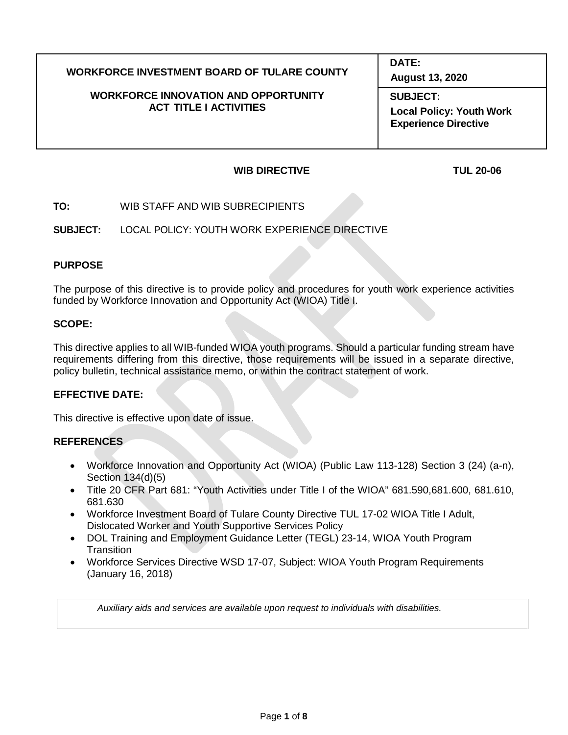# **WORKFORCE INVESTMENT BOARD OF TULARE COUNTY**

#### **WORKFORCE INNOVATION AND OPPORTUNITY ACT TITLE I ACTIVITIES**

**DATE:**

**August 13, 2020**

**SUBJECT: Local Policy: Youth Work Experience Directive**

## **WIB DIRECTIVE TUL 20-06**

**TO:** WIB STAFF AND WIB SUBRECIPIENTS

**SUBJECT:** LOCAL POLICY: YOUTH WORK EXPERIENCE DIRECTIVE

# **PURPOSE**

The purpose of this directive is to provide policy and procedures for youth work experience activities funded by Workforce Innovation and Opportunity Act (WIOA) Title I.

# **SCOPE:**

This directive applies to all WIB-funded WIOA youth programs. Should a particular funding stream have requirements differing from this directive, those requirements will be issued in a separate directive, policy bulletin, technical assistance memo, or within the contract statement of work.

# **EFFECTIVE DATE:**

This directive is effective upon date of issue.

# **REFERENCES**

- Workforce Innovation and Opportunity Act (WIOA) (Public Law 113-128) Section 3 (24) (a-n), Section 134(d)(5)
- Title 20 CFR Part 681: "Youth Activities under Title I of the WIOA" 681.590,681.600, 681.610, 681.630
- Workforce Investment Board of Tulare County Directive TUL 17-02 WIOA Title I Adult, Dislocated Worker and Youth Supportive Services Policy
- DOL Training and Employment Guidance Letter (TEGL) 23-14, WIOA Youth Program **Transition**
- Workforce Services Directive WSD 17-07, Subject: WIOA Youth Program Requirements (January 16, 2018)

*Auxiliary aids and services are available upon request to individuals with disabilities.*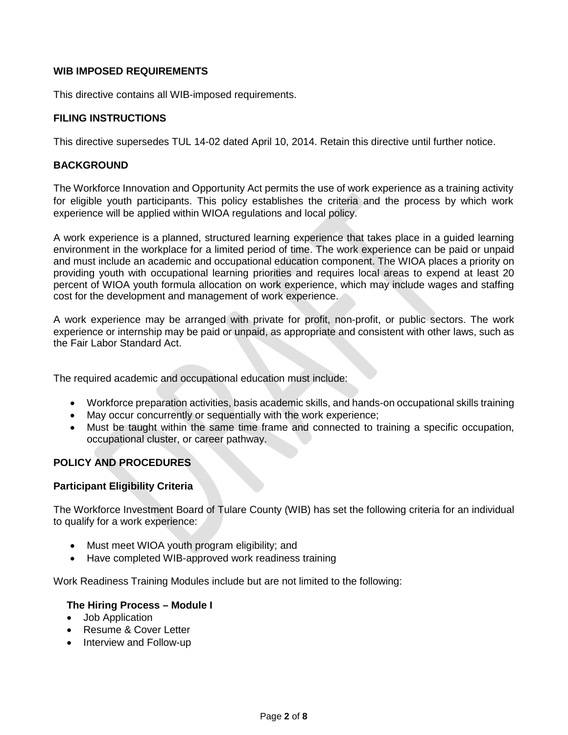## **WIB IMPOSED REQUIREMENTS**

This directive contains all WIB-imposed requirements.

## **FILING INSTRUCTIONS**

This directive supersedes TUL 14-02 dated April 10, 2014. Retain this directive until further notice.

#### **BACKGROUND**

The Workforce Innovation and Opportunity Act permits the use of work experience as a training activity for eligible youth participants. This policy establishes the criteria and the process by which work experience will be applied within WIOA regulations and local policy.

A work experience is a planned, structured learning experience that takes place in a guided learning environment in the workplace for a limited period of time. The work experience can be paid or unpaid and must include an academic and occupational education component. The WIOA places a priority on providing youth with occupational learning priorities and requires local areas to expend at least 20 percent of WIOA youth formula allocation on work experience, which may include wages and staffing cost for the development and management of work experience.

A work experience may be arranged with private for profit, non-profit, or public sectors. The work experience or internship may be paid or unpaid, as appropriate and consistent with other laws, such as the Fair Labor Standard Act.

The required academic and occupational education must include:

- Workforce preparation activities, basis academic skills, and hands-on occupational skills training
- May occur concurrently or sequentially with the work experience;
- Must be taught within the same time frame and connected to training a specific occupation, occupational cluster, or career pathway.

# **POLICY AND PROCEDURES**

#### **Participant Eligibility Criteria**

The Workforce Investment Board of Tulare County (WIB) has set the following criteria for an individual to qualify for a work experience:

- Must meet WIOA youth program eligibility; and
- Have completed WIB-approved work readiness training

Work Readiness Training Modules include but are not limited to the following:

#### **The Hiring Process – Module I**

- Job Application
- Resume & Cover Letter
- Interview and Follow-up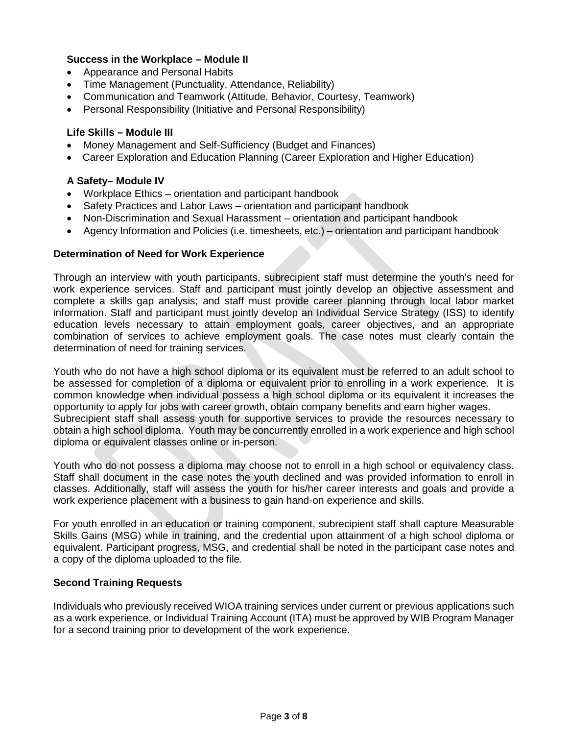## **Success in the Workplace – Module II**

- Appearance and Personal Habits
- Time Management (Punctuality, Attendance, Reliability)
- Communication and Teamwork (Attitude, Behavior, Courtesy, Teamwork)
- Personal Responsibility (Initiative and Personal Responsibility)

## **Life Skills – Module III**

- Money Management and Self-Sufficiency (Budget and Finances)
- Career Exploration and Education Planning (Career Exploration and Higher Education)

## **A Safety– Module IV**

- Workplace Ethics orientation and participant handbook
- Safety Practices and Labor Laws orientation and participant handbook
- Non-Discrimination and Sexual Harassment orientation and participant handbook
- Agency Information and Policies (i.e. timesheets, etc.) orientation and participant handbook

#### **Determination of Need for Work Experience**

Through an interview with youth participants, subrecipient staff must determine the youth's need for work experience services. Staff and participant must jointly develop an objective assessment and complete a skills gap analysis; and staff must provide career planning through local labor market information. Staff and participant must jointly develop an Individual Service Strategy (ISS) to identify education levels necessary to attain employment goals, career objectives, and an appropriate combination of services to achieve employment goals. The case notes must clearly contain the determination of need for training services.

Youth who do not have a high school diploma or its equivalent must be referred to an adult school to be assessed for completion of a diploma or equivalent prior to enrolling in a work experience. It is common knowledge when individual possess a high school diploma or its equivalent it increases the opportunity to apply for jobs with career growth, obtain company benefits and earn higher wages. Subrecipient staff shall assess youth for supportive services to provide the resources necessary to obtain a high school diploma. Youth may be concurrently enrolled in a work experience and high school diploma or equivalent classes online or in-person.

Youth who do not possess a diploma may choose not to enroll in a high school or equivalency class. Staff shall document in the case notes the youth declined and was provided information to enroll in classes. Additionally, staff will assess the youth for his/her career interests and goals and provide a work experience placement with a business to gain hand-on experience and skills.

For youth enrolled in an education or training component, subrecipient staff shall capture Measurable Skills Gains (MSG) while in training, and the credential upon attainment of a high school diploma or equivalent. Participant progress, MSG, and credential shall be noted in the participant case notes and a copy of the diploma uploaded to the file.

#### **Second Training Requests**

Individuals who previously received WIOA training services under current or previous applications such as a work experience, or Individual Training Account (ITA) must be approved by WIB Program Manager for a second training prior to development of the work experience.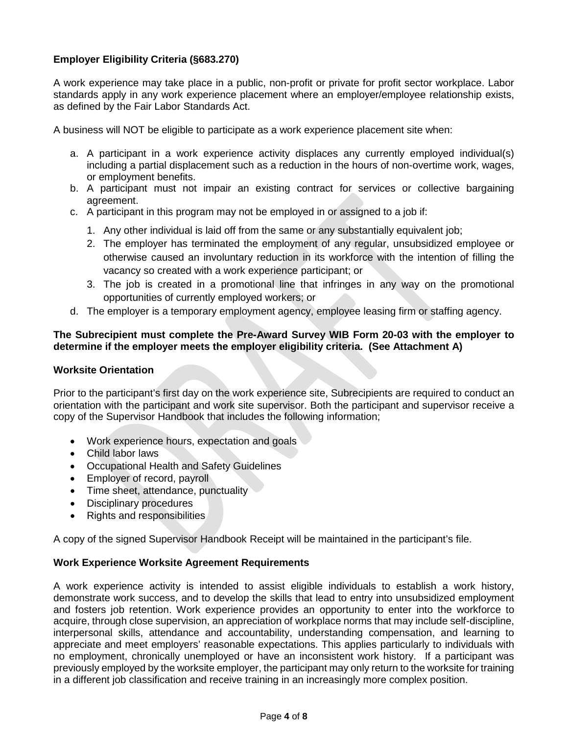# **Employer Eligibility Criteria (§683.270)**

A work experience may take place in a public, non-profit or private for profit sector workplace. Labor standards apply in any work experience placement where an employer/employee relationship exists, as defined by the Fair Labor Standards Act.

A business will NOT be eligible to participate as a work experience placement site when:

- a. A participant in a work experience activity displaces any currently employed individual(s) including a partial displacement such as a reduction in the hours of non-overtime work, wages, or employment benefits.
- b. A participant must not impair an existing contract for services or collective bargaining agreement.
- c. A participant in this program may not be employed in or assigned to a job if:
	- 1. Any other individual is laid off from the same or any substantially equivalent job;
	- 2. The employer has terminated the employment of any regular, unsubsidized employee or otherwise caused an involuntary reduction in its workforce with the intention of filling the vacancy so created with a work experience participant; or
	- 3. The job is created in a promotional line that infringes in any way on the promotional opportunities of currently employed workers; or
- d. The employer is a temporary employment agency, employee leasing firm or staffing agency.

# **The Subrecipient must complete the Pre-Award Survey WIB Form 20-03 with the employer to determine if the employer meets the employer eligibility criteria. (See Attachment A)**

## **Worksite Orientation**

Prior to the participant's first day on the work experience site, Subrecipients are required to conduct an orientation with the participant and work site supervisor. Both the participant and supervisor receive a copy of the Supervisor Handbook that includes the following information;

- Work experience hours, expectation and goals
- Child labor laws
- Occupational Health and Safety Guidelines
- Employer of record, payroll
- Time sheet, attendance, punctuality
- Disciplinary procedures
- Rights and responsibilities

A copy of the signed Supervisor Handbook Receipt will be maintained in the participant's file.

# **Work Experience Worksite Agreement Requirements**

A work experience activity is intended to assist eligible individuals to establish a work history, demonstrate work success, and to develop the skills that lead to entry into unsubsidized employment and fosters job retention. Work experience provides an opportunity to enter into the workforce to acquire, through close supervision, an appreciation of workplace norms that may include self-discipline, interpersonal skills, attendance and accountability, understanding compensation, and learning to appreciate and meet employers' reasonable expectations. This applies particularly to individuals with no employment, chronically unemployed or have an inconsistent work history. If a participant was previously employed by the worksite employer, the participant may only return to the worksite for training in a different job classification and receive training in an increasingly more complex position.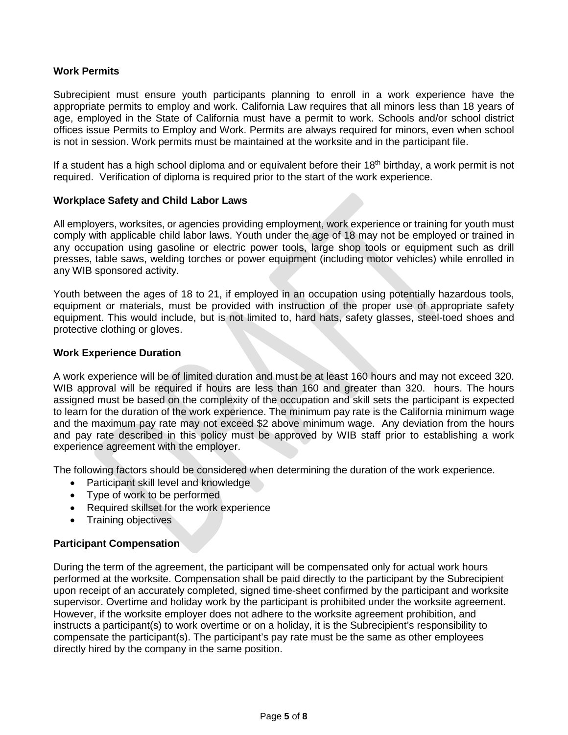# **Work Permits**

Subrecipient must ensure youth participants planning to enroll in a work experience have the appropriate permits to employ and work. California Law requires that all minors less than 18 years of age, employed in the State of California must have a permit to work. Schools and/or school district offices issue Permits to Employ and Work. Permits are always required for minors, even when school is not in session. Work permits must be maintained at the worksite and in the participant file.

If a student has a high school diploma and or equivalent before their 18<sup>th</sup> birthday, a work permit is not required. Verification of diploma is required prior to the start of the work experience.

#### **Workplace Safety and Child Labor Laws**

All employers, worksites, or agencies providing employment, work experience or training for youth must comply with applicable child labor laws. Youth under the age of 18 may not be employed or trained in any occupation using gasoline or electric power tools, large shop tools or equipment such as drill presses, table saws, welding torches or power equipment (including motor vehicles) while enrolled in any WIB sponsored activity.

Youth between the ages of 18 to 21, if employed in an occupation using potentially hazardous tools, equipment or materials, must be provided with instruction of the proper use of appropriate safety equipment. This would include, but is not limited to, hard hats, safety glasses, steel-toed shoes and protective clothing or gloves.

#### **Work Experience Duration**

A work experience will be of limited duration and must be at least 160 hours and may not exceed 320. WIB approval will be required if hours are less than 160 and greater than 320. hours. The hours assigned must be based on the complexity of the occupation and skill sets the participant is expected to learn for the duration of the work experience. The minimum pay rate is the California minimum wage and the maximum pay rate may not exceed \$2 above minimum wage. Any deviation from the hours and pay rate described in this policy must be approved by WIB staff prior to establishing a work experience agreement with the employer.

The following factors should be considered when determining the duration of the work experience.

- Participant skill level and knowledge
- Type of work to be performed
- Required skillset for the work experience
- Training objectives

# **Participant Compensation**

During the term of the agreement, the participant will be compensated only for actual work hours performed at the worksite. Compensation shall be paid directly to the participant by the Subrecipient upon receipt of an accurately completed, signed time-sheet confirmed by the participant and worksite supervisor. Overtime and holiday work by the participant is prohibited under the worksite agreement. However, if the worksite employer does not adhere to the worksite agreement prohibition, and instructs a participant(s) to work overtime or on a holiday, it is the Subrecipient's responsibility to compensate the participant(s). The participant's pay rate must be the same as other employees directly hired by the company in the same position.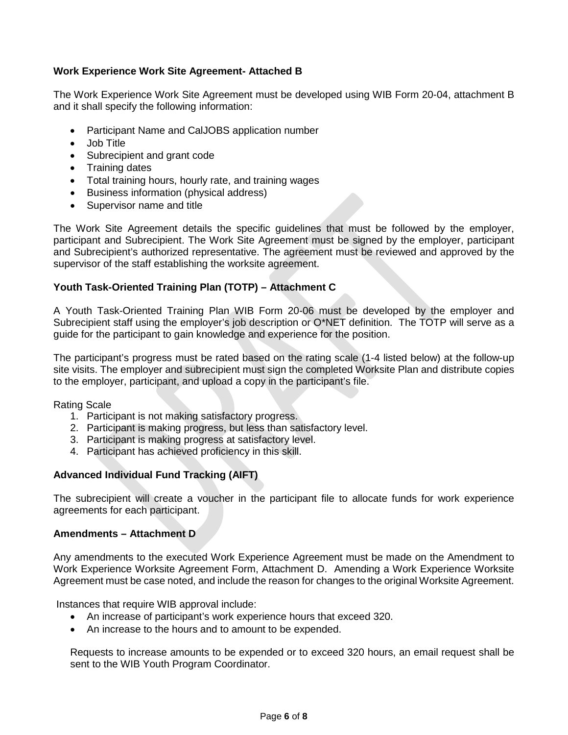# **Work Experience Work Site Agreement- Attached B**

The Work Experience Work Site Agreement must be developed using WIB Form 20-04, attachment B and it shall specify the following information:

- Participant Name and CalJOBS application number
- Job Title
- Subrecipient and grant code
- Training dates
- Total training hours, hourly rate, and training wages
- Business information (physical address)
- Supervisor name and title

The Work Site Agreement details the specific guidelines that must be followed by the employer, participant and Subrecipient. The Work Site Agreement must be signed by the employer, participant and Subrecipient's authorized representative. The agreement must be reviewed and approved by the supervisor of the staff establishing the worksite agreement.

# **Youth Task-Oriented Training Plan (TOTP) – Attachment C**

A Youth Task-Oriented Training Plan WIB Form 20-06 must be developed by the employer and Subrecipient staff using the employer's job description or O\*NET definition. The TOTP will serve as a guide for the participant to gain knowledge and experience for the position.

The participant's progress must be rated based on the rating scale (1-4 listed below) at the follow-up site visits. The employer and subrecipient must sign the completed Worksite Plan and distribute copies to the employer, participant, and upload a copy in the participant's file.

Rating Scale

- 1. Participant is not making satisfactory progress.
- 2. Participant is making progress, but less than satisfactory level.
- 3. Participant is making progress at satisfactory level.
- 4. Participant has achieved proficiency in this skill.

# **Advanced Individual Fund Tracking (AIFT)**

The subrecipient will create a voucher in the participant file to allocate funds for work experience agreements for each participant.

#### **Amendments – Attachment D**

Any amendments to the executed Work Experience Agreement must be made on the Amendment to Work Experience Worksite Agreement Form, Attachment D. Amending a Work Experience Worksite Agreement must be case noted, and include the reason for changes to the original Worksite Agreement.

Instances that require WIB approval include:

- An increase of participant's work experience hours that exceed 320.
- An increase to the hours and to amount to be expended.

Requests to increase amounts to be expended or to exceed 320 hours, an email request shall be sent to the WIB Youth Program Coordinator.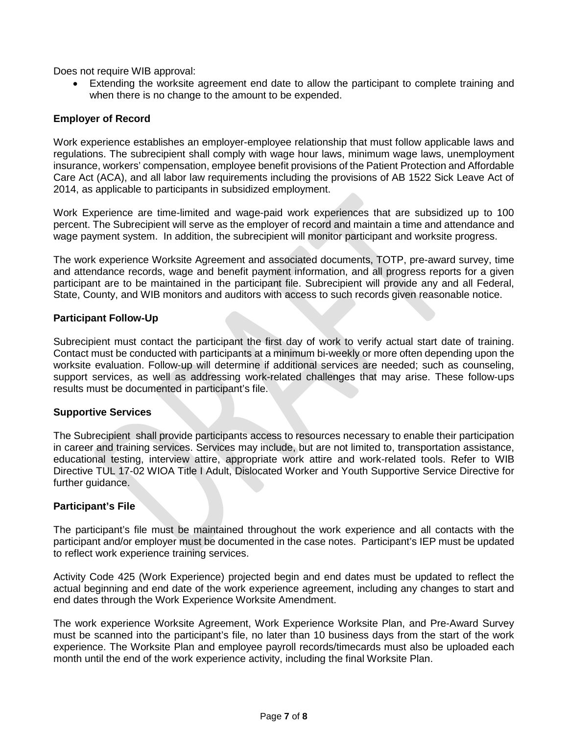Does not require WIB approval:

• Extending the worksite agreement end date to allow the participant to complete training and when there is no change to the amount to be expended.

## **Employer of Record**

Work experience establishes an employer-employee relationship that must follow applicable laws and regulations. The subrecipient shall comply with wage hour laws, minimum wage laws, unemployment insurance, workers' compensation, employee benefit provisions of the Patient Protection and Affordable Care Act (ACA), and all labor law requirements including the provisions of AB 1522 Sick Leave Act of 2014, as applicable to participants in subsidized employment.

Work Experience are time-limited and wage-paid work experiences that are subsidized up to 100 percent. The Subrecipient will serve as the employer of record and maintain a time and attendance and wage payment system. In addition, the subrecipient will monitor participant and worksite progress.

The work experience Worksite Agreement and associated documents, TOTP, pre-award survey, time and attendance records, wage and benefit payment information, and all progress reports for a given participant are to be maintained in the participant file. Subrecipient will provide any and all Federal, State, County, and WIB monitors and auditors with access to such records given reasonable notice.

#### **Participant Follow-Up**

Subrecipient must contact the participant the first day of work to verify actual start date of training. Contact must be conducted with participants at a minimum bi-weekly or more often depending upon the worksite evaluation. Follow-up will determine if additional services are needed; such as counseling, support services, as well as addressing work-related challenges that may arise. These follow-ups results must be documented in participant's file.

#### **Supportive Services**

The Subrecipient shall provide participants access to resources necessary to enable their participation in career and training services. Services may include, but are not limited to, transportation assistance, educational testing, interview attire, appropriate work attire and work-related tools. Refer to WIB Directive TUL 17-02 WIOA Title I Adult, Dislocated Worker and Youth Supportive Service Directive for further guidance.

# **Participant's File**

The participant's file must be maintained throughout the work experience and all contacts with the participant and/or employer must be documented in the case notes. Participant's IEP must be updated to reflect work experience training services.

Activity Code 425 (Work Experience) projected begin and end dates must be updated to reflect the actual beginning and end date of the work experience agreement, including any changes to start and end dates through the Work Experience Worksite Amendment.

The work experience Worksite Agreement, Work Experience Worksite Plan, and Pre-Award Survey must be scanned into the participant's file, no later than 10 business days from the start of the work experience. The Worksite Plan and employee payroll records/timecards must also be uploaded each month until the end of the work experience activity, including the final Worksite Plan.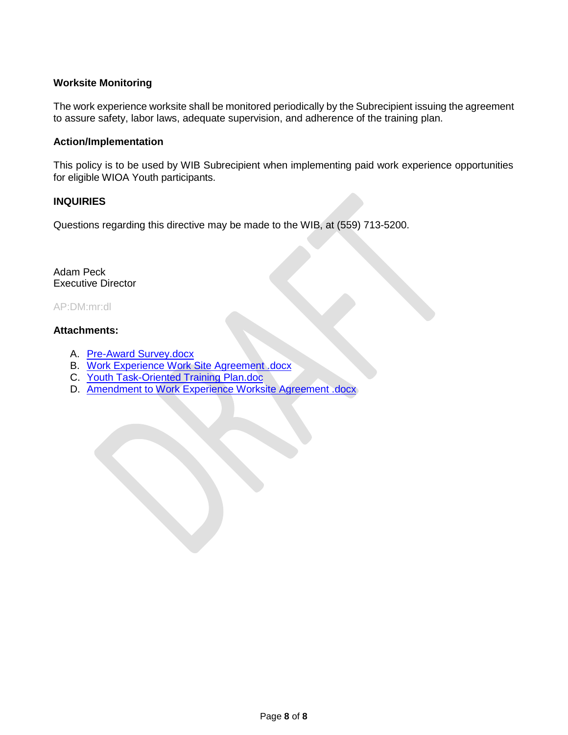# **Worksite Monitoring**

The work experience worksite shall be monitored periodically by the Subrecipient issuing the agreement to assure safety, labor laws, adequate supervision, and adherence of the training plan.

#### **Action/Implementation**

This policy is to be used by WIB Subrecipient when implementing paid work experience opportunities for eligible WIOA Youth participants.

#### **INQUIRIES**

Questions regarding this directive may be made to the WIB, at (559) 713-5200.

Adam Peck Executive Director

#### AP:DM:mr:dl

#### **Attachments:**

- A. Pre-Award Survey.docx
- B. Work Experience Work Site Agreement .docx
- C. Youth Task-Oriented Training Plan.doc
- D. Amendment to Work Experience Worksite Agreement .docx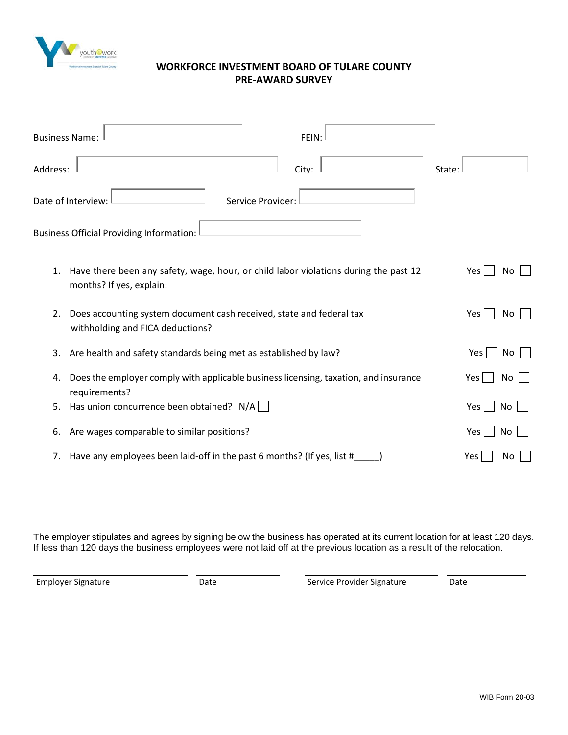

# **WORKFORCE INVESTMENT BOARD OF TULARE COUNTY PRE-AWARD SURVEY**

| Address:<br>City:                                                                                                      | State:                |
|------------------------------------------------------------------------------------------------------------------------|-----------------------|
| Service Provider:<br>Date of Interview:                                                                                |                       |
| Business Official Providing Information:                                                                               |                       |
| Have there been any safety, wage, hour, or child labor violations during the past 12<br>1.<br>months? If yes, explain: | Yes  <br>No           |
| Does accounting system document cash received, state and federal tax<br>2.<br>withholding and FICA deductions?         | Yes  <br>No           |
| Are health and safety standards being met as established by law?<br>3.                                                 | Yes  <br>No           |
| Does the employer comply with applicable business licensing, taxation, and insurance<br>4.<br>requirements?            | Yes l<br>No           |
| Has union concurrence been obtained? $N/A$<br>5.                                                                       | Yes $ $<br>No         |
| Are wages comparable to similar positions?<br>6.                                                                       | $Yes \mid \mid$<br>No |
| Have any employees been laid-off in the past 6 months? (If yes, list #<br>7.                                           | Yes<br>No.            |

The employer stipulates and agrees by signing below the business has operated at its current location for at least 120 days. If less than 120 days the business employees were not laid off at the previous location as a result of the relocation.

Employer Signature Date Date Service Provider Signature Date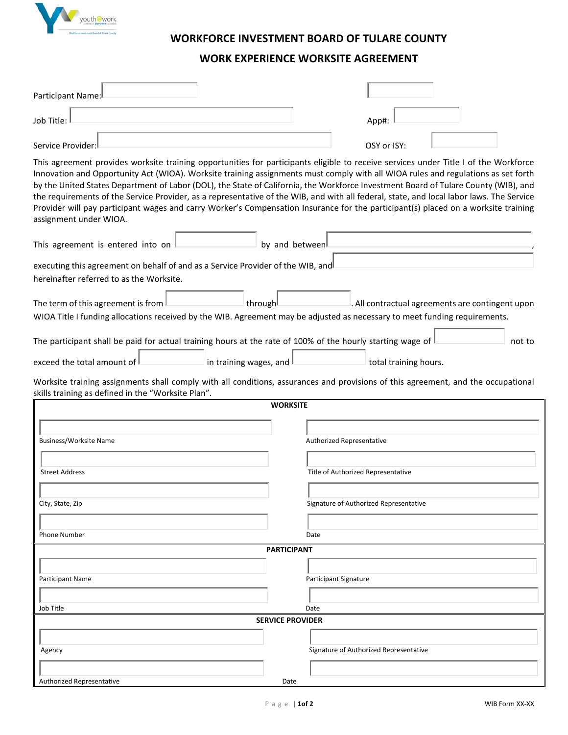

# **WORKFORCE INVESTMENT BOARD OF TULARE COUNTY**

# **WORK EXPERIENCE WORKSITE AGREEMENT**

| Participant Name:                                                                                                                                                                                                                                                                                                                                                                                                                                                                                                                                                                                                                                                                                                            |                 |                                                  |  |  |  |  |
|------------------------------------------------------------------------------------------------------------------------------------------------------------------------------------------------------------------------------------------------------------------------------------------------------------------------------------------------------------------------------------------------------------------------------------------------------------------------------------------------------------------------------------------------------------------------------------------------------------------------------------------------------------------------------------------------------------------------------|-----------------|--------------------------------------------------|--|--|--|--|
| Job Title:                                                                                                                                                                                                                                                                                                                                                                                                                                                                                                                                                                                                                                                                                                                   |                 | App#:                                            |  |  |  |  |
| Service Provider:                                                                                                                                                                                                                                                                                                                                                                                                                                                                                                                                                                                                                                                                                                            |                 | OSY or ISY:                                      |  |  |  |  |
| This agreement provides worksite training opportunities for participants eligible to receive services under Title I of the Workforce<br>Innovation and Opportunity Act (WIOA). Worksite training assignments must comply with all WIOA rules and regulations as set forth<br>by the United States Department of Labor (DOL), the State of California, the Workforce Investment Board of Tulare County (WIB), and<br>the requirements of the Service Provider, as a representative of the WIB, and with all federal, state, and local labor laws. The Service<br>Provider will pay participant wages and carry Worker's Compensation Insurance for the participant(s) placed on a worksite training<br>assignment under WIOA. |                 |                                                  |  |  |  |  |
| This agreement is entered into on                                                                                                                                                                                                                                                                                                                                                                                                                                                                                                                                                                                                                                                                                            | by and between  |                                                  |  |  |  |  |
| executing this agreement on behalf of and as a Service Provider of the WIB, and<br>hereinafter referred to as the Worksite.                                                                                                                                                                                                                                                                                                                                                                                                                                                                                                                                                                                                  |                 |                                                  |  |  |  |  |
| The term of this agreement is from<br>through!<br>WIOA Title I funding allocations received by the WIB. Agreement may be adjusted as necessary to meet funding requirements.                                                                                                                                                                                                                                                                                                                                                                                                                                                                                                                                                 |                 | . All contractual agreements are contingent upon |  |  |  |  |
| The participant shall be paid for actual training hours at the rate of 100% of the hourly starting wage of                                                                                                                                                                                                                                                                                                                                                                                                                                                                                                                                                                                                                   |                 | not to                                           |  |  |  |  |
| exceed the total amount of<br>in training wages, and                                                                                                                                                                                                                                                                                                                                                                                                                                                                                                                                                                                                                                                                         |                 | total training hours.                            |  |  |  |  |
| Worksite training assignments shall comply with all conditions, assurances and provisions of this agreement, and the occupational<br>skills training as defined in the "Worksite Plan".                                                                                                                                                                                                                                                                                                                                                                                                                                                                                                                                      |                 |                                                  |  |  |  |  |
|                                                                                                                                                                                                                                                                                                                                                                                                                                                                                                                                                                                                                                                                                                                              | <b>WORKSITE</b> |                                                  |  |  |  |  |
| Business/Worksite Name                                                                                                                                                                                                                                                                                                                                                                                                                                                                                                                                                                                                                                                                                                       |                 | Authorized Representative                        |  |  |  |  |
| <b>Street Address</b>                                                                                                                                                                                                                                                                                                                                                                                                                                                                                                                                                                                                                                                                                                        |                 | Title of Authorized Representative               |  |  |  |  |
|                                                                                                                                                                                                                                                                                                                                                                                                                                                                                                                                                                                                                                                                                                                              |                 |                                                  |  |  |  |  |
| City, State, Zip                                                                                                                                                                                                                                                                                                                                                                                                                                                                                                                                                                                                                                                                                                             |                 | Signature of Authorized Representative           |  |  |  |  |
| Phone Number                                                                                                                                                                                                                                                                                                                                                                                                                                                                                                                                                                                                                                                                                                                 |                 | Date                                             |  |  |  |  |
| <b>PARTICIPANT</b>                                                                                                                                                                                                                                                                                                                                                                                                                                                                                                                                                                                                                                                                                                           |                 |                                                  |  |  |  |  |
|                                                                                                                                                                                                                                                                                                                                                                                                                                                                                                                                                                                                                                                                                                                              |                 |                                                  |  |  |  |  |
| <b>Participant Name</b>                                                                                                                                                                                                                                                                                                                                                                                                                                                                                                                                                                                                                                                                                                      |                 | <b>Participant Signature</b>                     |  |  |  |  |
| Job Title                                                                                                                                                                                                                                                                                                                                                                                                                                                                                                                                                                                                                                                                                                                    |                 | Date                                             |  |  |  |  |
| <b>SERVICE PROVIDER</b>                                                                                                                                                                                                                                                                                                                                                                                                                                                                                                                                                                                                                                                                                                      |                 |                                                  |  |  |  |  |
|                                                                                                                                                                                                                                                                                                                                                                                                                                                                                                                                                                                                                                                                                                                              |                 |                                                  |  |  |  |  |
| Agency                                                                                                                                                                                                                                                                                                                                                                                                                                                                                                                                                                                                                                                                                                                       |                 | Signature of Authorized Representative           |  |  |  |  |
| Authorized Representative                                                                                                                                                                                                                                                                                                                                                                                                                                                                                                                                                                                                                                                                                                    | Date            |                                                  |  |  |  |  |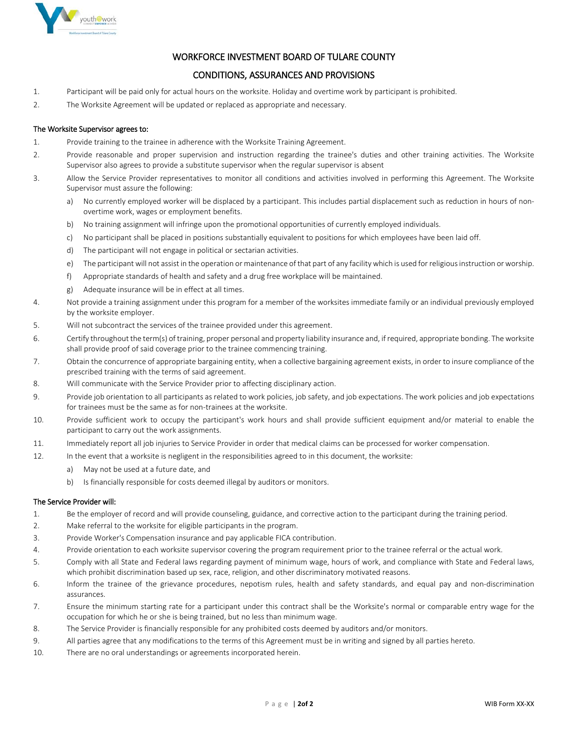

#### WORKFORCE INVESTMENT BOARD OF TULARE COUNTY

#### CONDITIONS, ASSURANCES AND PROVISIONS

- 1. Participant will be paid only for actual hours on the worksite. Holiday and overtime work by participant is prohibited.
- 2. The Worksite Agreement will be updated or replaced as appropriate and necessary.

#### The Worksite Supervisor agrees to:

- 1. Provide training to the trainee in adherence with the Worksite Training Agreement.
- 2. Provide reasonable and proper supervision and instruction regarding the trainee's duties and other training activities. The Worksite Supervisor also agrees to provide a substitute supervisor when the regular supervisor is absent
- 3. Allow the Service Provider representatives to monitor all conditions and activities involved in performing this Agreement. The Worksite Supervisor must assure the following:
	- a) No currently employed worker will be displaced by a participant. This includes partial displacement such as reduction in hours of nonovertime work, wages or employment benefits.
	- b) No training assignment will infringe upon the promotional opportunities of currently employed individuals.
	- c) No participant shall be placed in positions substantially equivalent to positions for which employees have been laid off.
	- d) The participant will not engage in political or sectarian activities.
	- e) The participant will not assist in the operation or maintenance of that part of any facility which is used for religious instruction or worship.
	- f) Appropriate standards of health and safety and a drug free workplace will be maintained.
	- g) Adequate insurance will be in effect at all times.
- 4. Not provide a training assignment under this program for a member of the worksites immediate family or an individual previously employed by the worksite employer.
- 5. Will not subcontract the services of the trainee provided under this agreement.
- 6. Certify throughout the term(s) of training, proper personal and property liability insurance and, if required, appropriate bonding. The worksite shall provide proof of said coverage prior to the trainee commencing training.
- 7. Obtain the concurrence of appropriate bargaining entity, when a collective bargaining agreement exists, in order to insure compliance of the prescribed training with the terms of said agreement.
- 8. Will communicate with the Service Provider prior to affecting disciplinary action.
- 9. Provide job orientation to all participants as related to work policies, job safety, and job expectations. The work policies and job expectations for trainees must be the same as for non-trainees at the worksite.
- 10. Provide sufficient work to occupy the participant's work hours and shall provide sufficient equipment and/or material to enable the participant to carry out the work assignments.
- 11. Immediately report all job injuries to Service Provider in order that medical claims can be processed for worker compensation.
- 12. In the event that a worksite is negligent in the responsibilities agreed to in this document, the worksite:
	- a) May not be used at a future date, and
	- b) Is financially responsible for costs deemed illegal by auditors or monitors.

#### The Service Provider will:

- 1. Be the employer of record and will provide counseling, guidance, and corrective action to the participant during the training period.
- 2. Make referral to the worksite for eligible participants in the program.
- 3. Provide Worker's Compensation insurance and pay applicable FICA contribution.
- 4. Provide orientation to each worksite supervisor covering the program requirement prior to the trainee referral or the actual work.
- 5. Comply with all State and Federal laws regarding payment of minimum wage, hours of work, and compliance with State and Federal laws, which prohibit discrimination based up sex, race, religion, and other discriminatory motivated reasons.
- 6. Inform the trainee of the grievance procedures, nepotism rules, health and safety standards, and equal pay and non-discrimination assurances.
- 7. Ensure the minimum starting rate for a participant under this contract shall be the Worksite's normal or comparable entry wage for the occupation for which he or she is being trained, but no less than minimum wage.
- 8. The Service Provider is financially responsible for any prohibited costs deemed by auditors and/or monitors.
- 9. All parties agree that any modifications to the terms of this Agreement must be in writing and signed by all parties hereto.
- 10. There are no oral understandings or agreements incorporated herein.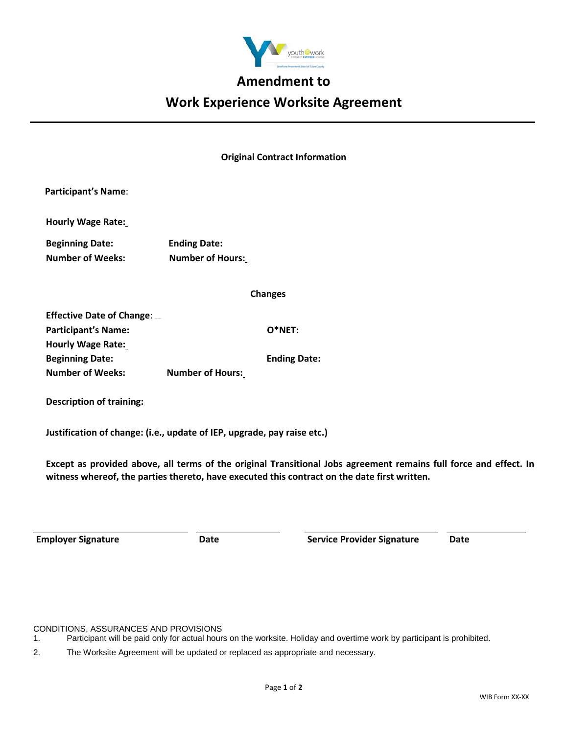

# **Amendment to**

# **Work Experience Worksite Agreement**

#### **Original Contract Information**

| <b>Participant's Name:</b>                                              |                         |  |  |  |
|-------------------------------------------------------------------------|-------------------------|--|--|--|
| <b>Hourly Wage Rate:</b>                                                |                         |  |  |  |
| <b>Beginning Date:</b>                                                  | <b>Ending Date:</b>     |  |  |  |
| <b>Number of Weeks:</b>                                                 | <b>Number of Hours:</b> |  |  |  |
|                                                                         | <b>Changes</b>          |  |  |  |
| <b>Effective Date of Change: </b>                                       |                         |  |  |  |
| <b>Participant's Name:</b>                                              | $O*NET:$                |  |  |  |
| <b>Hourly Wage Rate:</b>                                                |                         |  |  |  |
| <b>Beginning Date:</b>                                                  | <b>Ending Date:</b>     |  |  |  |
| <b>Number of Weeks:</b>                                                 | <b>Number of Hours:</b> |  |  |  |
| <b>Description of training:</b>                                         |                         |  |  |  |
| Justification of change: (i.e., update of IEP, upgrade, pay raise etc.) |                         |  |  |  |

**Except as provided above, all terms of the original Transitional Jobs agreement remains full force and effect. In witness whereof, the parties thereto, have executed this contract on the date first written.** 

**Employer Signature Date Service Provider Signature Date**

CONDITIONS, ASSURANCES AND PROVISIONS

2. The Worksite Agreement will be updated or replaced as appropriate and necessary.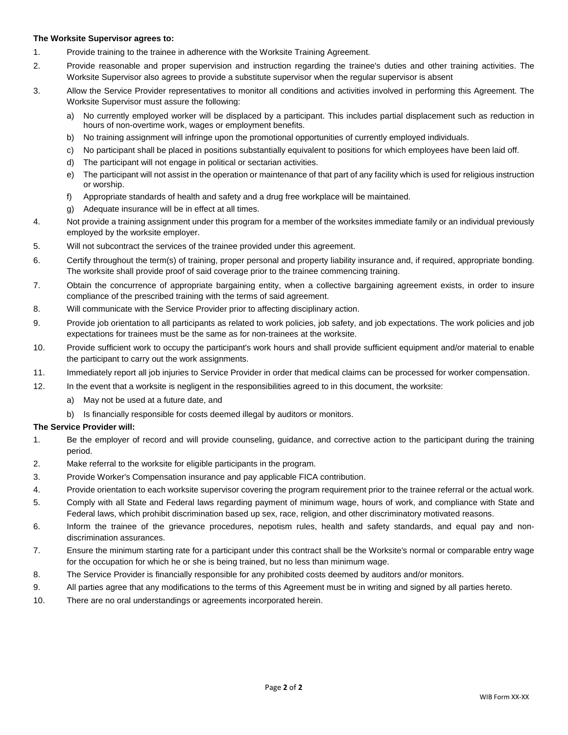#### **The Worksite Supervisor agrees to:**

- 1. Provide training to the trainee in adherence with the Worksite Training Agreement.
- 2. Provide reasonable and proper supervision and instruction regarding the trainee's duties and other training activities. The Worksite Supervisor also agrees to provide a substitute supervisor when the regular supervisor is absent
- 3. Allow the Service Provider representatives to monitor all conditions and activities involved in performing this Agreement. The Worksite Supervisor must assure the following:
	- a) No currently employed worker will be displaced by a participant. This includes partial displacement such as reduction in hours of non-overtime work, wages or employment benefits.
	- b) No training assignment will infringe upon the promotional opportunities of currently employed individuals.
	- c) No participant shall be placed in positions substantially equivalent to positions for which employees have been laid off.
	- d) The participant will not engage in political or sectarian activities.
	- e) The participant will not assist in the operation or maintenance of that part of any facility which is used for religious instruction or worship.
	- f) Appropriate standards of health and safety and a drug free workplace will be maintained.
	- g) Adequate insurance will be in effect at all times.
- 4. Not provide a training assignment under this program for a member of the worksites immediate family or an individual previously employed by the worksite employer.
- 5. Will not subcontract the services of the trainee provided under this agreement.
- 6. Certify throughout the term(s) of training, proper personal and property liability insurance and, if required, appropriate bonding. The worksite shall provide proof of said coverage prior to the trainee commencing training.
- 7. Obtain the concurrence of appropriate bargaining entity, when a collective bargaining agreement exists, in order to insure compliance of the prescribed training with the terms of said agreement.
- 8. Will communicate with the Service Provider prior to affecting disciplinary action.
- 9. Provide job orientation to all participants as related to work policies, job safety, and job expectations. The work policies and job expectations for trainees must be the same as for non-trainees at the worksite.
- 10. Provide sufficient work to occupy the participant's work hours and shall provide sufficient equipment and/or material to enable the participant to carry out the work assignments.
- 11. Immediately report all job injuries to Service Provider in order that medical claims can be processed for worker compensation.
- 12. In the event that a worksite is negligent in the responsibilities agreed to in this document, the worksite:
	- a) May not be used at a future date, and
	- b) Is financially responsible for costs deemed illegal by auditors or monitors.

#### **The Service Provider will:**

- 1. Be the employer of record and will provide counseling, guidance, and corrective action to the participant during the training period.
- 2. Make referral to the worksite for eligible participants in the program.
- 3. Provide Worker's Compensation insurance and pay applicable FICA contribution.
- 4. Provide orientation to each worksite supervisor covering the program requirement prior to the trainee referral or the actual work.
- 5. Comply with all State and Federal laws regarding payment of minimum wage, hours of work, and compliance with State and Federal laws, which prohibit discrimination based up sex, race, religion, and other discriminatory motivated reasons.
- 6. Inform the trainee of the grievance procedures, nepotism rules, health and safety standards, and equal pay and nondiscrimination assurances.
- 7. Ensure the minimum starting rate for a participant under this contract shall be the Worksite's normal or comparable entry wage for the occupation for which he or she is being trained, but no less than minimum wage.
- 8. The Service Provider is financially responsible for any prohibited costs deemed by auditors and/or monitors.
- 9. All parties agree that any modifications to the terms of this Agreement must be in writing and signed by all parties hereto.
- 10. There are no oral understandings or agreements incorporated herein.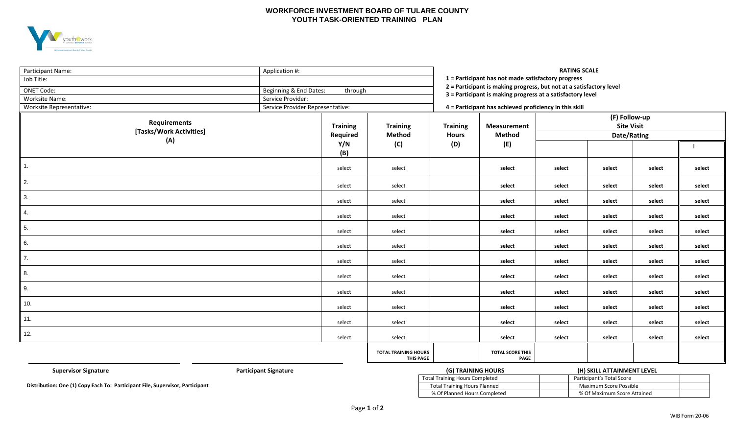#### **WORKFORCE INVESTMENT BOARD OF TULARE COUNTY YOUTH TASK-ORIENTED TRAINING PLAN**



| Participant Name:<br>Job Title:<br><b>ONET Code:</b><br>Worksite Name:<br>Worksite Representative: | <b>RATING SCALE</b><br>Application #:<br>1 = Participant has not made satisfactory progress<br>2 = Participant is making progress, but not at a satisfactory level<br>Beginning & End Dates:<br>through<br>3 = Participant is making progress at a satisfactory level<br>Service Provider:<br>4 = Participant has achieved proficiency in this skill |                                                 |                 |                                                                   |                                                   |        |        |        |
|----------------------------------------------------------------------------------------------------|------------------------------------------------------------------------------------------------------------------------------------------------------------------------------------------------------------------------------------------------------------------------------------------------------------------------------------------------------|-------------------------------------------------|-----------------|-------------------------------------------------------------------|---------------------------------------------------|--------|--------|--------|
| <b>Requirements</b><br>[Tasks/Work Activities]                                                     | Service Provider Representative:<br><b>Training</b>                                                                                                                                                                                                                                                                                                  | <b>Training</b>                                 | <b>Training</b> | <b>Measurement</b><br><b>Method</b><br><b>Hours</b><br>(D)<br>(E) | (F) Follow-up<br><b>Site Visit</b><br>Date/Rating |        |        |        |
| (A)                                                                                                | Required<br>Y/N<br>(B)                                                                                                                                                                                                                                                                                                                               | <b>Method</b><br>(C)                            |                 |                                                                   |                                                   |        |        |        |
| $\overline{1}$ .                                                                                   | select                                                                                                                                                                                                                                                                                                                                               | select                                          |                 | select                                                            | select                                            | select | select | select |
| 2.                                                                                                 | select                                                                                                                                                                                                                                                                                                                                               | select                                          |                 | select                                                            | select                                            | select | select | select |
| 3.                                                                                                 | select                                                                                                                                                                                                                                                                                                                                               | select                                          |                 | select                                                            | select                                            | select | select | select |
| 4.                                                                                                 | select                                                                                                                                                                                                                                                                                                                                               | select                                          |                 | select                                                            | select                                            | select | select | select |
| 5.                                                                                                 | select                                                                                                                                                                                                                                                                                                                                               | select                                          |                 | select                                                            | select                                            | select | select | select |
| 6.                                                                                                 | select                                                                                                                                                                                                                                                                                                                                               | select                                          |                 | select                                                            | select                                            | select | select | select |
| 7.                                                                                                 | select                                                                                                                                                                                                                                                                                                                                               | select                                          |                 | select                                                            | select                                            | select | select | select |
| 8.                                                                                                 | select                                                                                                                                                                                                                                                                                                                                               | select                                          |                 | select                                                            | select                                            | select | select | select |
| 9.                                                                                                 | select                                                                                                                                                                                                                                                                                                                                               | select                                          |                 | select                                                            | select                                            | select | select | select |
| 10.                                                                                                | select                                                                                                                                                                                                                                                                                                                                               | select                                          |                 | select                                                            | select                                            | select | select | select |
| 11.                                                                                                | select                                                                                                                                                                                                                                                                                                                                               | select                                          |                 | select                                                            | select                                            | select | select | select |
| 12.                                                                                                | select                                                                                                                                                                                                                                                                                                                                               | select                                          |                 | select                                                            | select                                            | select | select | select |
|                                                                                                    |                                                                                                                                                                                                                                                                                                                                                      | <b>TOTAL TRAINING HOURS</b><br><b>THIS PAGE</b> |                 | <b>TOTAL SCORE THIS</b><br>PAGE                                   |                                                   |        |        |        |

(G) TRAINING HOURS

| <b>Supervisor Signature</b>                                        | Participant Signature | (G) TRAINING HOURS             | (H) SKILL ATTAINMENT LEVEL  |
|--------------------------------------------------------------------|-----------------------|--------------------------------|-----------------------------|
|                                                                    |                       | Total Training Hours Completed | Participant's Total Score   |
| n: One (1) Copy Each To: Participant File, Supervisor, Participant |                       | Total Training Hours Planned   | Maximum Score Possible      |
|                                                                    |                       | % Of Planned Hours Completed   | % Of Maximum Score Attained |

**Distribution: One (1) Copy Each To: Participant File, Supervisor, Participant**